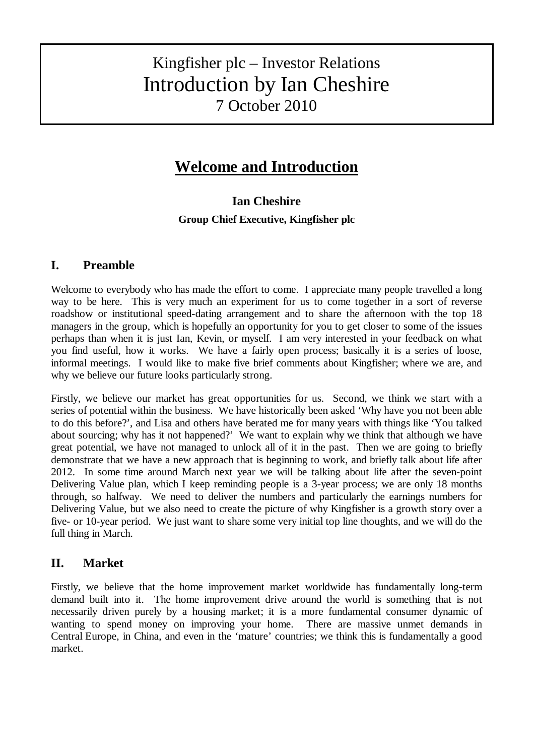# Kingfisher plc – Investor Relations Introduction by Ian Cheshire 7 October 2010

## **Welcome and Introduction**

## **Ian Cheshire**

#### **Group Chief Executive, Kingfisher plc**

#### **I. Preamble**

Welcome to everybody who has made the effort to come. I appreciate many people travelled a long way to be here. This is very much an experiment for us to come together in a sort of reverse roadshow or institutional speed-dating arrangement and to share the afternoon with the top 18 managers in the group, which is hopefully an opportunity for you to get closer to some of the issues perhaps than when it is just Ian, Kevin, or myself. I am very interested in your feedback on what you find useful, how it works. We have a fairly open process; basically it is a series of loose, informal meetings. I would like to make five brief comments about Kingfisher; where we are, and why we believe our future looks particularly strong.

Firstly, we believe our market has great opportunities for us. Second, we think we start with a series of potential within the business. We have historically been asked 'Why have you not been able to do this before?', and Lisa and others have berated me for many years with things like 'You talked about sourcing; why has it not happened?' We want to explain why we think that although we have great potential, we have not managed to unlock all of it in the past. Then we are going to briefly demonstrate that we have a new approach that is beginning to work, and briefly talk about life after 2012. In some time around March next year we will be talking about life after the seven-point Delivering Value plan, which I keep reminding people is a 3-year process; we are only 18 months through, so halfway. We need to deliver the numbers and particularly the earnings numbers for Delivering Value, but we also need to create the picture of why Kingfisher is a growth story over a five- or 10-year period. We just want to share some very initial top line thoughts, and we will do the full thing in March.

## **II. Market**

Firstly, we believe that the home improvement market worldwide has fundamentally long-term demand built into it. The home improvement drive around the world is something that is not necessarily driven purely by a housing market; it is a more fundamental consumer dynamic of wanting to spend money on improving your home. There are massive unmet demands in Central Europe, in China, and even in the 'mature' countries; we think this is fundamentally a good market.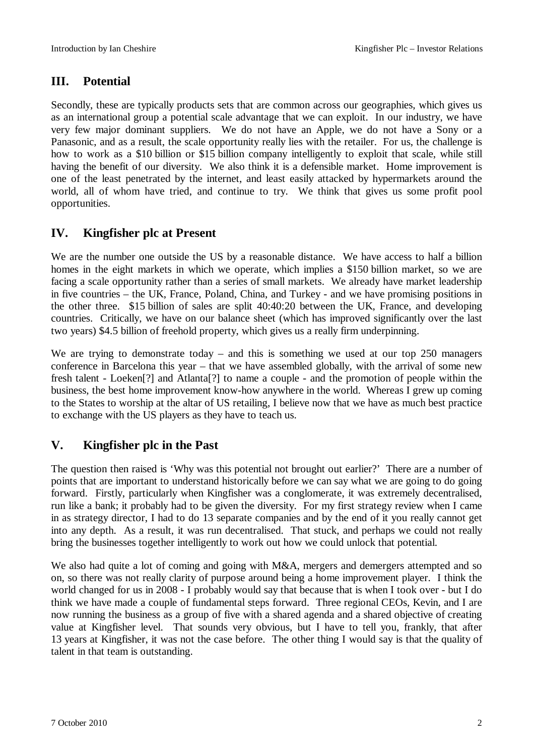## **III. Potential**

Secondly, these are typically products sets that are common across our geographies, which gives us as an international group a potential scale advantage that we can exploit. In our industry, we have very few major dominant suppliers. We do not have an Apple, we do not have a Sony or a Panasonic, and as a result, the scale opportunity really lies with the retailer. For us, the challenge is how to work as a \$10 billion or \$15 billion company intelligently to exploit that scale, while still having the benefit of our diversity. We also think it is a defensible market. Home improvement is one of the least penetrated by the internet, and least easily attacked by hypermarkets around the world, all of whom have tried, and continue to try. We think that gives us some profit pool opportunities.

## **IV. Kingfisher plc at Present**

We are the number one outside the US by a reasonable distance. We have access to half a billion homes in the eight markets in which we operate, which implies a \$150 billion market, so we are facing a scale opportunity rather than a series of small markets. We already have market leadership in five countries – the UK, France, Poland, China, and Turkey - and we have promising positions in the other three. \$15 billion of sales are split 40:40:20 between the UK, France, and developing countries. Critically, we have on our balance sheet (which has improved significantly over the last two years) \$4.5 billion of freehold property, which gives us a really firm underpinning.

We are trying to demonstrate today – and this is something we used at our top 250 managers conference in Barcelona this year – that we have assembled globally, with the arrival of some new fresh talent - Loeken[?] and Atlanta[?] to name a couple - and the promotion of people within the business, the best home improvement know-how anywhere in the world. Whereas I grew up coming to the States to worship at the altar of US retailing, I believe now that we have as much best practice to exchange with the US players as they have to teach us.

## **V. Kingfisher plc in the Past**

The question then raised is 'Why was this potential not brought out earlier?' There are a number of points that are important to understand historically before we can say what we are going to do going forward. Firstly, particularly when Kingfisher was a conglomerate, it was extremely decentralised, run like a bank; it probably had to be given the diversity. For my first strategy review when I came in as strategy director, I had to do 13 separate companies and by the end of it you really cannot get into any depth. As a result, it was run decentralised. That stuck, and perhaps we could not really bring the businesses together intelligently to work out how we could unlock that potential.

We also had quite a lot of coming and going with M&A, mergers and demergers attempted and so on, so there was not really clarity of purpose around being a home improvement player. I think the world changed for us in 2008 - I probably would say that because that is when I took over - but I do think we have made a couple of fundamental steps forward. Three regional CEOs, Kevin, and I are now running the business as a group of five with a shared agenda and a shared objective of creating value at Kingfisher level. That sounds very obvious, but I have to tell you, frankly, that after 13 years at Kingfisher, it was not the case before. The other thing I would say is that the quality of talent in that team is outstanding.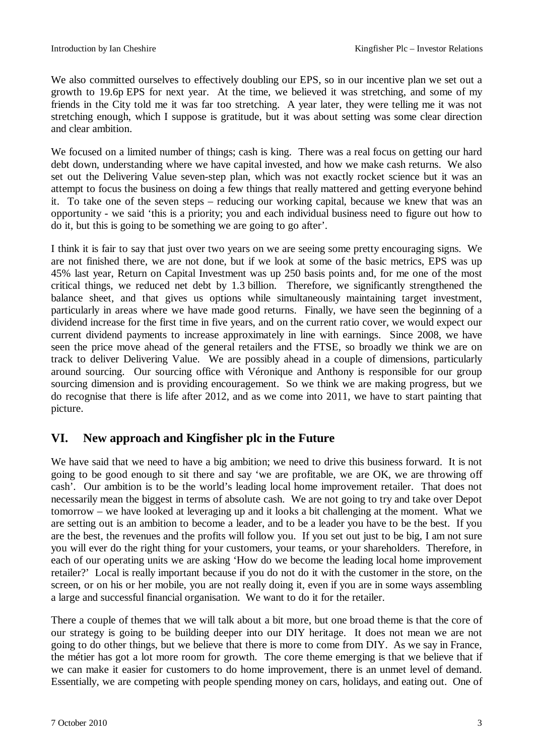We also committed ourselves to effectively doubling our EPS, so in our incentive plan we set out a growth to 19.6p EPS for next year. At the time, we believed it was stretching, and some of my friends in the City told me it was far too stretching. A year later, they were telling me it was not stretching enough, which I suppose is gratitude, but it was about setting was some clear direction and clear ambition.

We focused on a limited number of things; cash is king. There was a real focus on getting our hard debt down, understanding where we have capital invested, and how we make cash returns. We also set out the Delivering Value seven-step plan, which was not exactly rocket science but it was an attempt to focus the business on doing a few things that really mattered and getting everyone behind it. To take one of the seven steps – reducing our working capital, because we knew that was an opportunity - we said 'this is a priority; you and each individual business need to figure out how to do it, but this is going to be something we are going to go after'.

I think it is fair to say that just over two years on we are seeing some pretty encouraging signs. We are not finished there, we are not done, but if we look at some of the basic metrics, EPS was up 45% last year, Return on Capital Investment was up 250 basis points and, for me one of the most critical things, we reduced net debt by 1.3 billion. Therefore, we significantly strengthened the balance sheet, and that gives us options while simultaneously maintaining target investment, particularly in areas where we have made good returns. Finally, we have seen the beginning of a dividend increase for the first time in five years, and on the current ratio cover, we would expect our current dividend payments to increase approximately in line with earnings. Since 2008, we have seen the price move ahead of the general retailers and the FTSE, so broadly we think we are on track to deliver Delivering Value. We are possibly ahead in a couple of dimensions, particularly around sourcing. Our sourcing office with Véronique and Anthony is responsible for our group sourcing dimension and is providing encouragement. So we think we are making progress, but we do recognise that there is life after 2012, and as we come into 2011, we have to start painting that picture.

#### **VI. New approach and Kingfisher plc in the Future**

We have said that we need to have a big ambition; we need to drive this business forward. It is not going to be good enough to sit there and say 'we are profitable, we are OK, we are throwing off cash'. Our ambition is to be the world's leading local home improvement retailer. That does not necessarily mean the biggest in terms of absolute cash. We are not going to try and take over Depot tomorrow – we have looked at leveraging up and it looks a bit challenging at the moment. What we are setting out is an ambition to become a leader, and to be a leader you have to be the best. If you are the best, the revenues and the profits will follow you. If you set out just to be big, I am not sure you will ever do the right thing for your customers, your teams, or your shareholders. Therefore, in each of our operating units we are asking 'How do we become the leading local home improvement retailer?' Local is really important because if you do not do it with the customer in the store, on the screen, or on his or her mobile, you are not really doing it, even if you are in some ways assembling a large and successful financial organisation. We want to do it for the retailer.

There a couple of themes that we will talk about a bit more, but one broad theme is that the core of our strategy is going to be building deeper into our DIY heritage. It does not mean we are not going to do other things, but we believe that there is more to come from DIY. As we say in France, the métier has got a lot more room for growth. The core theme emerging is that we believe that if we can make it easier for customers to do home improvement, there is an unmet level of demand. Essentially, we are competing with people spending money on cars, holidays, and eating out. One of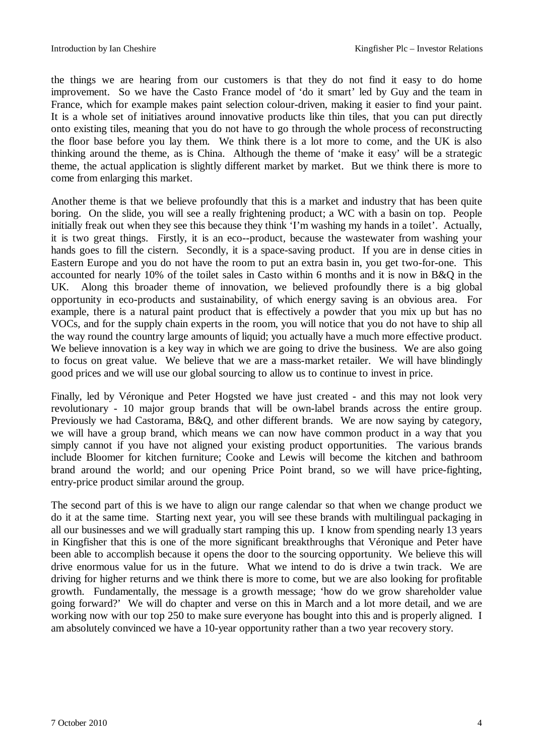the things we are hearing from our customers is that they do not find it easy to do home improvement. So we have the Casto France model of 'do it smart' led by Guy and the team in France, which for example makes paint selection colour-driven, making it easier to find your paint. It is a whole set of initiatives around innovative products like thin tiles, that you can put directly onto existing tiles, meaning that you do not have to go through the whole process of reconstructing the floor base before you lay them. We think there is a lot more to come, and the UK is also thinking around the theme, as is China. Although the theme of 'make it easy' will be a strategic theme, the actual application is slightly different market by market. But we think there is more to come from enlarging this market.

Another theme is that we believe profoundly that this is a market and industry that has been quite boring. On the slide, you will see a really frightening product; a WC with a basin on top. People initially freak out when they see this because they think 'I'm washing my hands in a toilet'. Actually, it is two great things. Firstly, it is an eco--product, because the wastewater from washing your hands goes to fill the cistern. Secondly, it is a space-saving product. If you are in dense cities in Eastern Europe and you do not have the room to put an extra basin in, you get two-for-one. This accounted for nearly 10% of the toilet sales in Casto within 6 months and it is now in B&Q in the UK. Along this broader theme of innovation, we believed profoundly there is a big global opportunity in eco-products and sustainability, of which energy saving is an obvious area. For example, there is a natural paint product that is effectively a powder that you mix up but has no VOCs, and for the supply chain experts in the room, you will notice that you do not have to ship all the way round the country large amounts of liquid; you actually have a much more effective product. We believe innovation is a key way in which we are going to drive the business. We are also going to focus on great value. We believe that we are a mass-market retailer. We will have blindingly good prices and we will use our global sourcing to allow us to continue to invest in price.

Finally, led by Véronique and Peter Hogsted we have just created - and this may not look very revolutionary - 10 major group brands that will be own-label brands across the entire group. Previously we had Castorama, B&Q, and other different brands. We are now saying by category, we will have a group brand, which means we can now have common product in a way that you simply cannot if you have not aligned your existing product opportunities. The various brands include Bloomer for kitchen furniture; Cooke and Lewis will become the kitchen and bathroom brand around the world; and our opening Price Point brand, so we will have price-fighting, entry-price product similar around the group.

The second part of this is we have to align our range calendar so that when we change product we do it at the same time. Starting next year, you will see these brands with multilingual packaging in all our businesses and we will gradually start ramping this up. I know from spending nearly 13 years in Kingfisher that this is one of the more significant breakthroughs that Véronique and Peter have been able to accomplish because it opens the door to the sourcing opportunity. We believe this will drive enormous value for us in the future. What we intend to do is drive a twin track. We are driving for higher returns and we think there is more to come, but we are also looking for profitable growth. Fundamentally, the message is a growth message; 'how do we grow shareholder value going forward?' We will do chapter and verse on this in March and a lot more detail, and we are working now with our top 250 to make sure everyone has bought into this and is properly aligned. I am absolutely convinced we have a 10-year opportunity rather than a two year recovery story.